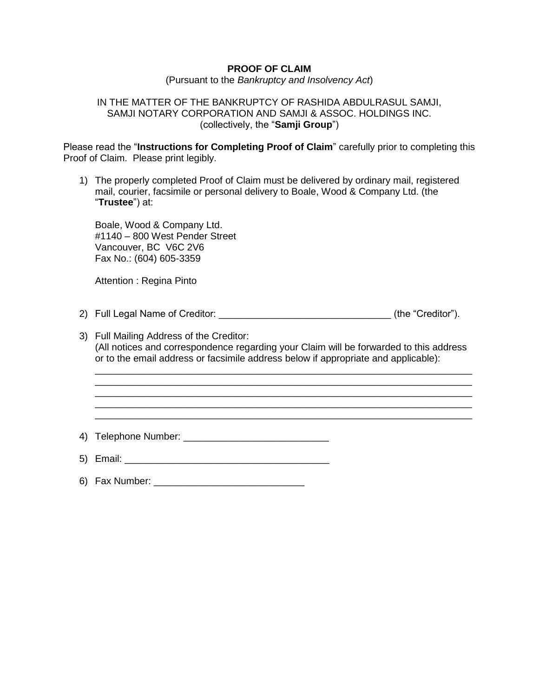# **PROOF OF CLAIM**

(Pursuant to the *Bankruptcy and Insolvency Act*)

## IN THE MATTER OF THE BANKRUPTCY OF RASHIDA ABDULRASUL SAMJI, SAMJI NOTARY CORPORATION AND SAMJI & ASSOC. HOLDINGS INC. (collectively, the "**Samji Group**")

Please read the "**Instructions for Completing Proof of Claim**" carefully prior to completing this Proof of Claim. Please print legibly.

1) The properly completed Proof of Claim must be delivered by ordinary mail, registered mail, courier, facsimile or personal delivery to Boale, Wood & Company Ltd. (the "**Trustee**") at:

Boale, Wood & Company Ltd. #1140 – 800 West Pender Street Vancouver, BC V6C 2V6 Fax No.: (604) 605-3359

Attention : Regina Pinto

- 2) Full Legal Name of Creditor: \_\_\_\_\_\_\_\_\_\_\_\_\_\_\_\_\_\_\_\_\_\_\_\_\_\_\_\_\_\_\_\_ (the "Creditor").
- 3) Full Mailing Address of the Creditor: (All notices and correspondence regarding your Claim will be forwarded to this address or to the email address or facsimile address below if appropriate and applicable):

\_\_\_\_\_\_\_\_\_\_\_\_\_\_\_\_\_\_\_\_\_\_\_\_\_\_\_\_\_\_\_\_\_\_\_\_\_\_\_\_\_\_\_\_\_\_\_\_\_\_\_\_\_\_\_\_\_\_\_\_\_\_\_\_\_\_\_\_\_\_ \_\_\_\_\_\_\_\_\_\_\_\_\_\_\_\_\_\_\_\_\_\_\_\_\_\_\_\_\_\_\_\_\_\_\_\_\_\_\_\_\_\_\_\_\_\_\_\_\_\_\_\_\_\_\_\_\_\_\_\_\_\_\_\_\_\_\_\_\_\_ \_\_\_\_\_\_\_\_\_\_\_\_\_\_\_\_\_\_\_\_\_\_\_\_\_\_\_\_\_\_\_\_\_\_\_\_\_\_\_\_\_\_\_\_\_\_\_\_\_\_\_\_\_\_\_\_\_\_\_\_\_\_\_\_\_\_\_\_\_\_

\_\_\_\_\_\_\_\_\_\_\_\_\_\_\_\_\_\_\_\_\_\_\_\_\_\_\_\_\_\_\_\_\_\_\_\_\_\_\_\_\_\_\_\_\_\_\_\_\_\_\_\_\_\_\_\_\_\_\_\_\_\_\_\_\_\_\_\_\_\_

4) Telephone Number: **Authority** Contract and Telephone Number:

- 5) Email: \_\_\_\_\_\_\_\_\_\_\_\_\_\_\_\_\_\_\_\_\_\_\_\_\_\_\_\_\_\_\_\_\_\_\_\_\_\_
- 6) Fax Number: \_\_\_\_\_\_\_\_\_\_\_\_\_\_\_\_\_\_\_\_\_\_\_\_\_\_\_\_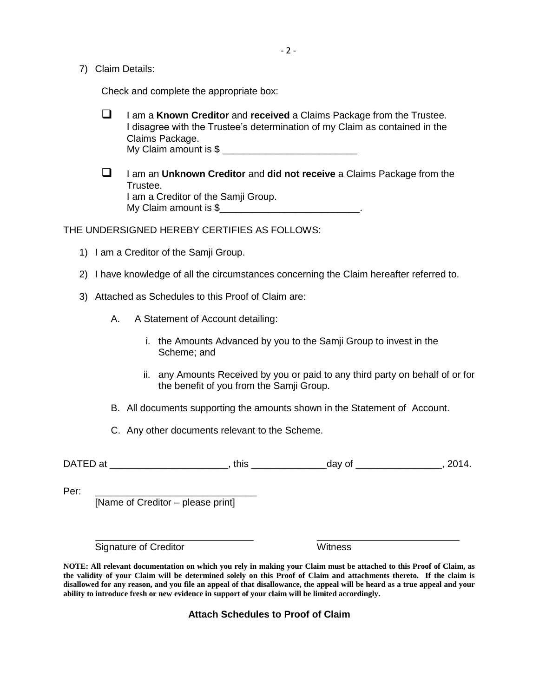7) Claim Details:

Check and complete the appropriate box:

- I am a **Known Creditor** and **received** a Claims Package from the Trustee. I disagree with the Trustee's determination of my Claim as contained in the Claims Package. My Claim amount is \$ \_\_\_\_\_\_\_\_\_\_\_\_\_\_\_\_\_\_\_\_\_\_\_\_\_
- I am an **Unknown Creditor** and **did not receive** a Claims Package from the Trustee. I am a Creditor of the Samji Group. My Claim amount is \$\_\_\_\_\_\_\_\_\_\_\_\_\_\_\_\_\_\_\_\_\_\_\_\_\_\_\_\_\_\_.

THE UNDERSIGNED HEREBY CERTIFIES AS FOLLOWS:

- 1) I am a Creditor of the Samji Group.
- 2) I have knowledge of all the circumstances concerning the Claim hereafter referred to.
- 3) Attached as Schedules to this Proof of Claim are:
	- A. A Statement of Account detailing:
		- i. the Amounts Advanced by you to the Samji Group to invest in the Scheme; and
		- ii. any Amounts Received by you or paid to any third party on behalf of or for the benefit of you from the Samji Group.
	- B. All documents supporting the amounts shown in the Statement of Account.
	- C. Any other documents relevant to the Scheme.

DATED at \_\_\_\_\_\_\_\_\_\_\_\_\_\_\_\_\_\_\_\_\_\_, this \_\_\_\_\_\_\_\_\_\_\_\_\_\_day of \_\_\_\_\_\_\_\_\_\_\_\_\_\_\_\_, 2014.

Per: \_\_\_\_\_\_\_\_\_\_\_\_\_\_\_\_\_\_\_\_\_\_\_\_\_\_\_\_\_\_

[Name of Creditor – please print]

Signature of Creditor North Control of Creditor Numbers and Witness

**NOTE: All relevant documentation on which you rely in making your Claim must be attached to this Proof of Claim, as the validity of your Claim will be determined solely on this Proof of Claim and attachments thereto. If the claim is disallowed for any reason, and you file an appeal of that disallowance, the appeal will be heard as a true appeal and your ability to introduce fresh or new evidence in support of your claim will be limited accordingly.** 

**Attach Schedules to Proof of Claim**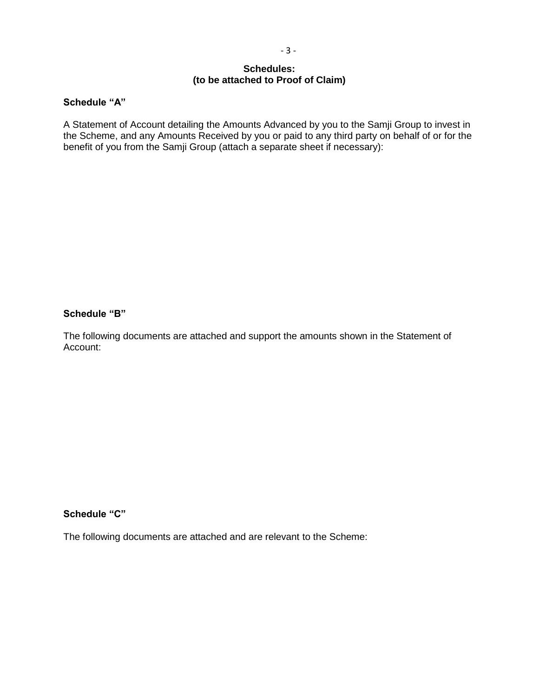# **Schedules: (to be attached to Proof of Claim)**

## **Schedule "A"**

A Statement of Account detailing the Amounts Advanced by you to the Samji Group to invest in the Scheme, and any Amounts Received by you or paid to any third party on behalf of or for the benefit of you from the Samji Group (attach a separate sheet if necessary):

#### **Schedule "B"**

The following documents are attached and support the amounts shown in the Statement of Account:

# **Schedule "C"**

The following documents are attached and are relevant to the Scheme: